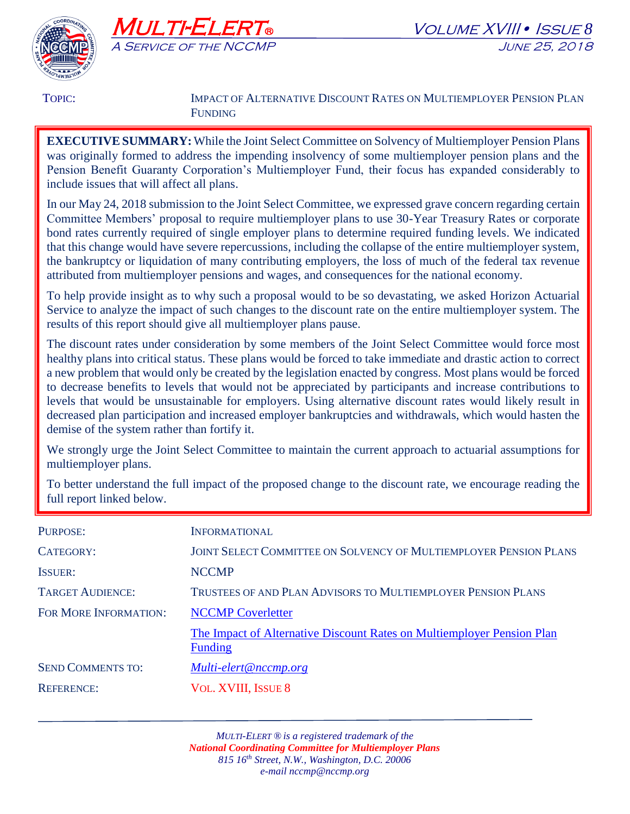



TOPIC: **IMPACT OF ALTERNATIVE DISCOUNT RATES ON MULTIEMPLOYER PENSION PLAN** FUNDING

**EXECUTIVE SUMMARY:** While the Joint Select Committee on Solvency of Multiemployer Pension Plans was originally formed to address the impending insolvency of some multiemployer pension plans and the Pension Benefit Guaranty Corporation's Multiemployer Fund, their focus has expanded considerably to include issues that will affect all plans.

In our May 24, 2018 submission to the Joint Select Committee, we expressed grave concern regarding certain Committee Members' proposal to require multiemployer plans to use 30-Year Treasury Rates or corporate bond rates currently required of single employer plans to determine required funding levels. We indicated that this change would have severe repercussions, including the collapse of the entire multiemployer system, the bankruptcy or liquidation of many contributing employers, the loss of much of the federal tax revenue attributed from multiemployer pensions and wages, and consequences for the national economy.

To help provide insight as to why such a proposal would to be so devastating, we asked Horizon Actuarial Service to analyze the impact of such changes to the discount rate on the entire multiemployer system. The results of this report should give all multiemployer plans pause.

The discount rates under consideration by some members of the Joint Select Committee would force most healthy plans into critical status. These plans would be forced to take immediate and drastic action to correct a new problem that would only be created by the legislation enacted by congress. Most plans would be forced to decrease benefits to levels that would not be appreciated by participants and increase contributions to levels that would be unsustainable for employers. Using alternative discount rates would likely result in decreased plan participation and increased employer bankruptcies and withdrawals, which would hasten the demise of the system rather than fortify it.

We strongly urge the Joint Select Committee to maintain the current approach to actuarial assumptions for multiemployer plans.

To better understand the full impact of the proposed change to the discount rate, we encourage reading the full report linked below.

| <b>INFORMATIONAL</b>                                                                     |
|------------------------------------------------------------------------------------------|
| <b>JOINT SELECT COMMITTEE ON SOLVENCY OF MULTIEMPLOYER PENSION PLANS</b>                 |
| <b>NCCMP</b>                                                                             |
| TRUSTEES OF AND PLAN ADVISORS TO MULTIEMPLOYER PENSION PLANS                             |
| <b>NCCMP Coverletter</b>                                                                 |
| The Impact of Alternative Discount Rates on Multiemployer Pension Plan<br><b>Funding</b> |
| Multi-elert@nccmp.org                                                                    |
| <b>VOL. XVIII, ISSUE 8</b>                                                               |
|                                                                                          |